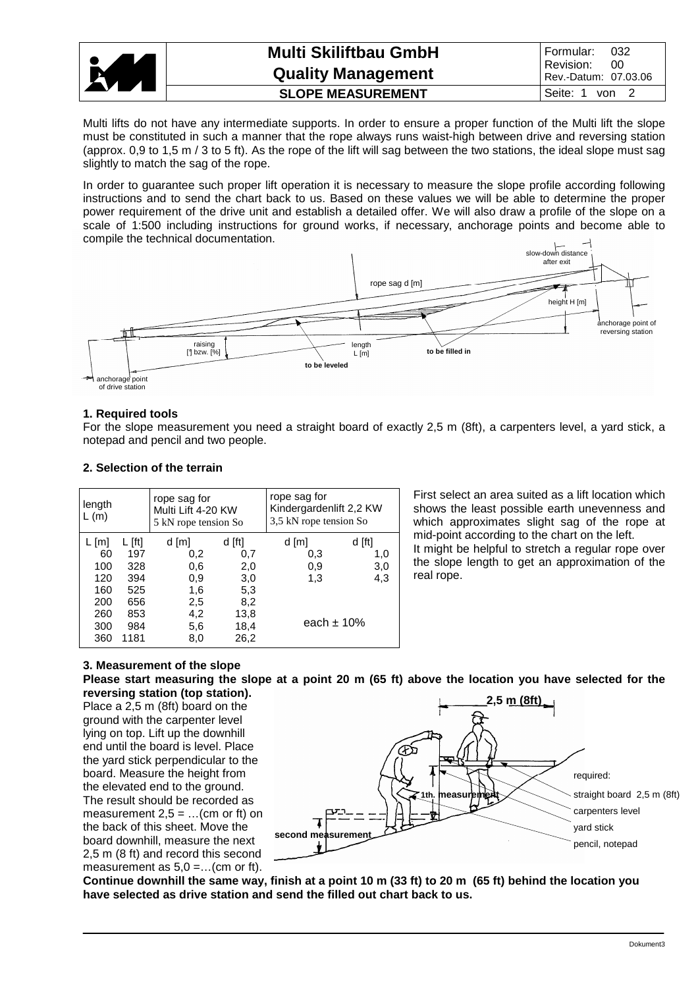

| <b>Multi Skiliftbau GmbH</b><br><b>Quality Management</b> | Formular:<br>- 032<br>Revision: 00<br>Rev.-Datum: 07.03.06 |
|-----------------------------------------------------------|------------------------------------------------------------|
| <b>SLOPE MEASUREMENT</b>                                  | Seite: 1 von 2                                             |

Multi lifts do not have any intermediate supports. In order to ensure a proper function of the Multi lift the slope must be constituted in such a manner that the rope always runs waist-high between drive and reversing station (approx. 0,9 to 1,5 m / 3 to 5 ft). As the rope of the lift will sag between the two stations, the ideal slope must sag slightly to match the sag of the rope.

In order to guarantee such proper lift operation it is necessary to measure the slope profile according following instructions and to send the chart back to us. Based on these values we will be able to determine the proper power requirement of the drive unit and establish a detailed offer. We will also draw a profile of the slope on a scale of 1:500 including instructions for ground works, if necessary, anchorage points and become able to compile the technical documentation.



### **1. Required tools**

For the slope measurement you need a straight board of exactly 2,5 m (8ft), a carpenters level, a yard stick, a notepad and pencil and two people.

#### **2. Selection of the terrain**

| length<br>L(m) | rope sag for<br>Multi Lift 4-20 KW<br>5 kN rope tension So |       |        | rope sag for<br>Kindergardenlift 2,2 KW<br>3,5 kN rope tension So |        |  |  |
|----------------|------------------------------------------------------------|-------|--------|-------------------------------------------------------------------|--------|--|--|
| L [m]          | $L$ [ft]                                                   | d [m] | d [ft] | d [m]                                                             | d [ft] |  |  |
| 60             | 197                                                        | 0,2   | 0,7    | 0,3                                                               | 1.0    |  |  |
| 100            | 328                                                        | 0,6   | 2,0    | 0,9                                                               | 3,0    |  |  |
| 120            | 394                                                        | 0,9   | 3,0    | 1,3                                                               | 4,3    |  |  |
| 160            | 525                                                        | 1,6   | 5,3    |                                                                   |        |  |  |
| 200            | 656                                                        | 2,5   | 8,2    |                                                                   |        |  |  |
| 260            | 853                                                        | 4,2   | 13,8   |                                                                   |        |  |  |
| 300            | 984                                                        | 5,6   | 18,4   | each $\pm$ 10%                                                    |        |  |  |
| 360            | 1181                                                       | 8,0   | 26,2   |                                                                   |        |  |  |

First select an area suited as a lift location which shows the least possible earth unevenness and which approximates slight sag of the rope at mid-point according to the chart on the left. It might be helpful to stretch a regular rope over

the slope length to get an approximation of the real rope.

## **3. Measurement of the slope**

**Please start measuring the slope at a point 20 m (65 ft) above the location you have selected for the reversing station (top station).**

Place a 2,5 m (8ft) board on the ground with the carpenter level lying on top. Lift up the downhill end until the board is level. Place the yard stick perpendicular to the board. Measure the height from the elevated end to the ground. The result should be recorded as measurement  $2.5 = ...$  (cm or ft) on the back of this sheet. Move the board downhill, measure the next 2,5 m (8 ft) and record this second measurement as  $5,0 =$ ...(cm or ft).



**Continue downhill the same way, finish at a point 10 m (33 ft) to 20 m (65 ft) behind the location you have selected as drive station and send the filled out chart back to us.**